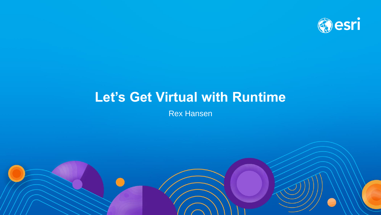

# **Let's Get Virtual with Runtime**

Rex Hansen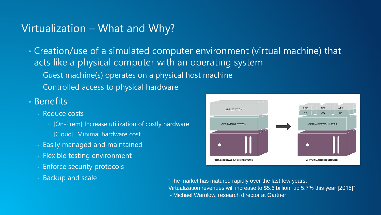#### Virtualization – What and Why?

- Creation/use of a simulated computer environment (virtual machine) that acts like a physical computer with an operating system
	- Guest machine(s) operates on a physical host machine
	- Controlled access to physical hardware
- Benefits
	- Reduce costs
		- [On-Prem] Increase utilization of costly hardware
		- [Cloud] Minimal hardware cost
	- Easily managed and maintained
	- Flexible testing environment
	- Enforce security protocols
	-



Backup and scale "The market has matured rapidly over the last few years. Virtualization revenues will increase to \$5.6 billion, up 5.7% this year [2016]" **-** Michael Warrilow, research director at Gartner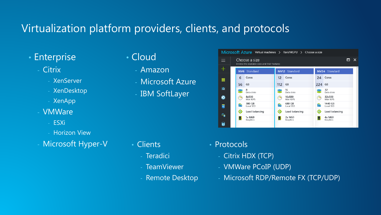### Virtualization platform providers, clients, and protocols

- Enterprise
	- Citrix
		- XenServer
		- XenDesktop
		- XenApp
	- VMWare
		- ESXi
		- Horizon View
	- Microsoft Hyper-V

## • Cloud

- Amazon
- Microsoft Azure
- IBM SoftLayer

#### • Clients

- Teradici
- TeamViewer
- Remote Desktop

| Microsoft Azure Virtual machines > RexVMGPU > Choose a size |                                                                |    |                     |     |                      |        |                      |   |
|-------------------------------------------------------------|----------------------------------------------------------------|----|---------------------|-----|----------------------|--------|----------------------|---|
| $\equiv$                                                    | Choose a size<br>Browse the available sizes and their features |    |                     |     |                      |        |                      | x |
|                                                             |                                                                |    | <b>NV6</b> Standard |     | <b>NV12</b> Standard |        | <b>NV24</b> Standard |   |
| m                                                           |                                                                | 6  | Cores               | 12  | Cores                | 24     | Cores                |   |
|                                                             |                                                                | 56 | GB                  | 112 | GB                   | 224 GB |                      |   |
| M                                                           |                                                                |    | 8<br>Data disks     |     | 16<br>Data disks     |        | 32<br>Data disks     |   |
| €                                                           |                                                                |    | 8x500<br>Max IOPS   |     | 16x500<br>Max IOPS   | (2)    | 32x500<br>Max IOPS   |   |
| 扇                                                           |                                                                | ħ  | 380 GB<br>Local SSD | Ъ   | 680 GB<br>Local SSD  | T      | 1440 GB<br>Local SSD |   |
| q,                                                          |                                                                |    | Load balancing      |     | Load balancing       | ◈      | Load balancing       |   |
|                                                             |                                                                |    | 1x M60<br>Graphics  |     | 2x M60<br>Graphics   |        | 4x M60<br>Graphics   |   |
| 7                                                           |                                                                |    |                     |     |                      |        |                      |   |

- Protocols
	- Citrix HDX (TCP)
	- VMWare PCoIP (UDP)
	- Microsoft RDP/Remote FX (TCP/UDP)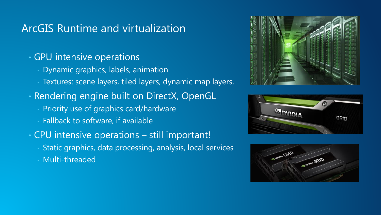### ArcGIS Runtime and virtualization

#### • GPU intensive operations

- Dynamic graphics, labels, animation
- Textures: scene layers, tiled layers, dynamic map layers,
- Rendering engine built on DirectX, OpenGL
	- Priority use of graphics card/hardware
	- Fallback to software, if available
- CPU intensive operations still important!
	- Static graphics, data processing, analysis, local services
	- Multi-threaded





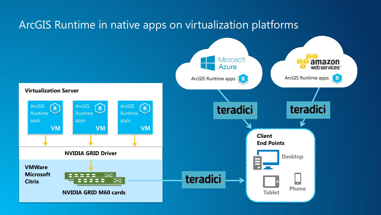# ArcGIS Runtime in native apps on virtualization platforms

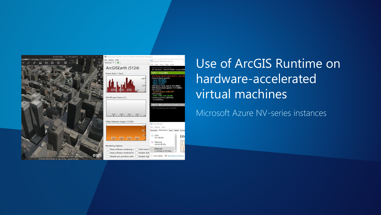



Use of ArcGIS Runtime on hardware-accelerated virtual machines

#### Microsoft Azure NV-series instances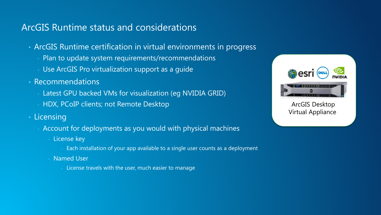#### ArcGIS Runtime status and considerations

- ArcGIS Runtime certification in virtual environments in progress
	- Plan to update system requirements/recommendations
	- Use ArcGIS Pro virtualization support as a guide
- Recommendations
	- Latest GPU backed VMs for visualization (eg NVIDIA GRID)
	- HDX, PCoIP clients; not Remote Desktop
- Licensing
	- Account for deployments as you would with physical machines
		- License key
			- Each installation of your app available to a single user counts as a deployment
		- Named User
			- License travels with the user, much easier to manage



ArcGIS Desktop Virtual Appliance